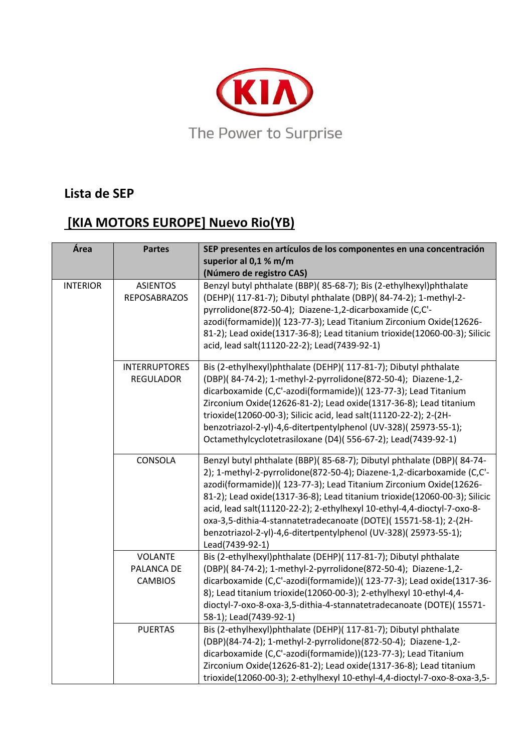

## **Lista de SEP**

## **[KIA MOTORS EUROPE] Nuevo Rio(YB)**

| Área            | <b>Partes</b>                                  | SEP presentes en artículos de los componentes en una concentración<br>superior al 0,1 % m/m<br>(Número de registro CAS)                                                                                                                                                                                                                                                                                                                                                                                                                 |
|-----------------|------------------------------------------------|-----------------------------------------------------------------------------------------------------------------------------------------------------------------------------------------------------------------------------------------------------------------------------------------------------------------------------------------------------------------------------------------------------------------------------------------------------------------------------------------------------------------------------------------|
| <b>INTERIOR</b> | <b>ASIENTOS</b><br><b>REPOSABRAZOS</b>         | Benzyl butyl phthalate (BBP)(85-68-7); Bis (2-ethylhexyl)phthalate<br>(DEHP)( 117-81-7); Dibutyl phthalate (DBP)( 84-74-2); 1-methyl-2-<br>pyrrolidone(872-50-4); Diazene-1,2-dicarboxamide (C,C'-<br>azodi(formamide))( 123-77-3); Lead Titanium Zirconium Oxide(12626-<br>81-2); Lead oxide(1317-36-8); Lead titanium trioxide(12060-00-3); Silicic<br>acid, lead salt(11120-22-2); Lead(7439-92-1)                                                                                                                                   |
|                 | <b>INTERRUPTORES</b><br><b>REGULADOR</b>       | Bis (2-ethylhexyl)phthalate (DEHP)( 117-81-7); Dibutyl phthalate<br>(DBP)(84-74-2); 1-methyl-2-pyrrolidone(872-50-4); Diazene-1,2-<br>dicarboxamide (C,C'-azodi(formamide))( 123-77-3); Lead Titanium<br>Zirconium Oxide(12626-81-2); Lead oxide(1317-36-8); Lead titanium<br>trioxide(12060-00-3); Silicic acid, lead salt(11120-22-2); 2-(2H-<br>benzotriazol-2-yl)-4,6-ditertpentylphenol (UV-328)(25973-55-1);<br>Octamethylcyclotetrasiloxane (D4)(556-67-2); Lead(7439-92-1)                                                      |
|                 | CONSOLA                                        | Benzyl butyl phthalate (BBP)(85-68-7); Dibutyl phthalate (DBP)(84-74-<br>2); 1-methyl-2-pyrrolidone(872-50-4); Diazene-1,2-dicarboxamide (C,C'-<br>azodi(formamide))( 123-77-3); Lead Titanium Zirconium Oxide(12626-<br>81-2); Lead oxide(1317-36-8); Lead titanium trioxide(12060-00-3); Silicic<br>acid, lead salt(11120-22-2); 2-ethylhexyl 10-ethyl-4,4-dioctyl-7-oxo-8-<br>oxa-3,5-dithia-4-stannatetradecanoate (DOTE)(15571-58-1); 2-(2H-<br>benzotriazol-2-yl)-4,6-ditertpentylphenol (UV-328)(25973-55-1);<br>Lead(7439-92-1) |
|                 | <b>VOLANTE</b><br>PALANCA DE<br><b>CAMBIOS</b> | Bis (2-ethylhexyl)phthalate (DEHP)( 117-81-7); Dibutyl phthalate<br>(DBP)(84-74-2); 1-methyl-2-pyrrolidone(872-50-4); Diazene-1,2-<br>dicarboxamide (C,C'-azodi(formamide))( 123-77-3); Lead oxide(1317-36-<br>8); Lead titanium trioxide(12060-00-3); 2-ethylhexyl 10-ethyl-4,4-<br>dioctyl-7-oxo-8-oxa-3,5-dithia-4-stannatetradecanoate (DOTE)(15571-<br>58-1); Lead(7439-92-1)                                                                                                                                                      |
|                 | <b>PUERTAS</b>                                 | Bis (2-ethylhexyl)phthalate (DEHP)( 117-81-7); Dibutyl phthalate<br>(DBP)(84-74-2); 1-methyl-2-pyrrolidone(872-50-4); Diazene-1,2-<br>dicarboxamide (C,C'-azodi(formamide))(123-77-3); Lead Titanium<br>Zirconium Oxide(12626-81-2); Lead oxide(1317-36-8); Lead titanium<br>trioxide(12060-00-3); 2-ethylhexyl 10-ethyl-4,4-dioctyl-7-oxo-8-oxa-3,5-                                                                                                                                                                                   |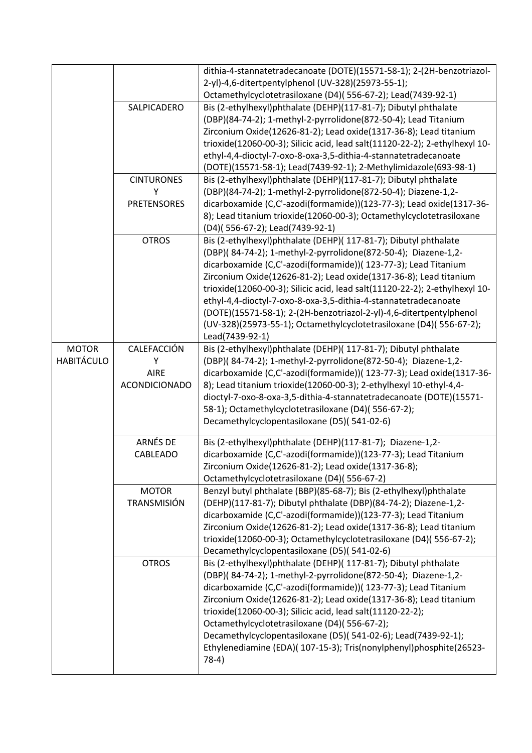|                   |                      | dithia-4-stannatetradecanoate (DOTE)(15571-58-1); 2-(2H-benzotriazol-                                                                          |
|-------------------|----------------------|------------------------------------------------------------------------------------------------------------------------------------------------|
|                   |                      | 2-yl)-4,6-ditertpentylphenol (UV-328)(25973-55-1);                                                                                             |
|                   |                      | Octamethylcyclotetrasiloxane (D4)(556-67-2); Lead(7439-92-1)                                                                                   |
|                   | SALPICADERO          | Bis (2-ethylhexyl)phthalate (DEHP)(117-81-7); Dibutyl phthalate                                                                                |
|                   |                      | (DBP)(84-74-2); 1-methyl-2-pyrrolidone(872-50-4); Lead Titanium                                                                                |
|                   |                      | Zirconium Oxide(12626-81-2); Lead oxide(1317-36-8); Lead titanium                                                                              |
|                   |                      | trioxide(12060-00-3); Silicic acid, lead salt(11120-22-2); 2-ethylhexyl 10-                                                                    |
|                   |                      | ethyl-4,4-dioctyl-7-oxo-8-oxa-3,5-dithia-4-stannatetradecanoate                                                                                |
|                   |                      | (DOTE)(15571-58-1); Lead(7439-92-1); 2-Methylimidazole(693-98-1)                                                                               |
|                   | <b>CINTURONES</b>    | Bis (2-ethylhexyl)phthalate (DEHP)(117-81-7); Dibutyl phthalate                                                                                |
|                   | Υ                    | (DBP)(84-74-2); 1-methyl-2-pyrrolidone(872-50-4); Diazene-1,2-                                                                                 |
|                   | <b>PRETENSORES</b>   | dicarboxamide (C,C'-azodi(formamide))(123-77-3); Lead oxide(1317-36-                                                                           |
|                   |                      | 8); Lead titanium trioxide(12060-00-3); Octamethylcyclotetrasiloxane                                                                           |
|                   |                      | (D4)(556-67-2); Lead(7439-92-1)                                                                                                                |
|                   | <b>OTROS</b>         | Bis (2-ethylhexyl)phthalate (DEHP)( 117-81-7); Dibutyl phthalate                                                                               |
|                   |                      | (DBP)(84-74-2); 1-methyl-2-pyrrolidone(872-50-4); Diazene-1,2-                                                                                 |
|                   |                      | dicarboxamide (C,C'-azodi(formamide))( 123-77-3); Lead Titanium                                                                                |
|                   |                      | Zirconium Oxide(12626-81-2); Lead oxide(1317-36-8); Lead titanium                                                                              |
|                   |                      | trioxide(12060-00-3); Silicic acid, lead salt(11120-22-2); 2-ethylhexyl 10-<br>ethyl-4,4-dioctyl-7-oxo-8-oxa-3,5-dithia-4-stannatetradecanoate |
|                   |                      | (DOTE)(15571-58-1); 2-(2H-benzotriazol-2-yl)-4,6-ditertpentylphenol                                                                            |
|                   |                      | (UV-328)(25973-55-1); Octamethylcyclotetrasiloxane (D4)(556-67-2);                                                                             |
|                   |                      | Lead(7439-92-1)                                                                                                                                |
| <b>MOTOR</b>      | CALEFACCIÓN          | Bis (2-ethylhexyl)phthalate (DEHP)( 117-81-7); Dibutyl phthalate                                                                               |
| <b>HABITÁCULO</b> | Υ                    | (DBP)(84-74-2); 1-methyl-2-pyrrolidone(872-50-4); Diazene-1,2-                                                                                 |
|                   | <b>AIRE</b>          | dicarboxamide (C,C'-azodi(formamide))( 123-77-3); Lead oxide(1317-36-                                                                          |
|                   | <b>ACONDICIONADO</b> | 8); Lead titanium trioxide(12060-00-3); 2-ethylhexyl 10-ethyl-4,4-                                                                             |
|                   |                      | dioctyl-7-oxo-8-oxa-3,5-dithia-4-stannatetradecanoate (DOTE)(15571-                                                                            |
|                   |                      | 58-1); Octamethylcyclotetrasiloxane (D4)(556-67-2);                                                                                            |
|                   |                      | Decamethylcyclopentasiloxane (D5)(541-02-6)                                                                                                    |
|                   |                      |                                                                                                                                                |
|                   | ARNÉS DE             | Bis (2-ethylhexyl)phthalate (DEHP)(117-81-7); Diazene-1,2-                                                                                     |
|                   | CABLEADO             | dicarboxamide (C,C'-azodi(formamide))(123-77-3); Lead Titanium                                                                                 |
|                   |                      | Zirconium Oxide(12626-81-2); Lead oxide(1317-36-8);                                                                                            |
|                   | <b>MOTOR</b>         | Octamethylcyclotetrasiloxane (D4)(556-67-2)                                                                                                    |
|                   | <b>TRANSMISIÓN</b>   | Benzyl butyl phthalate (BBP)(85-68-7); Bis (2-ethylhexyl)phthalate<br>(DEHP)(117-81-7); Dibutyl phthalate (DBP)(84-74-2); Diazene-1,2-         |
|                   |                      | dicarboxamide (C,C'-azodi(formamide))(123-77-3); Lead Titanium                                                                                 |
|                   |                      | Zirconium Oxide(12626-81-2); Lead oxide(1317-36-8); Lead titanium                                                                              |
|                   |                      | trioxide(12060-00-3); Octamethylcyclotetrasiloxane (D4)(556-67-2);                                                                             |
|                   |                      | Decamethylcyclopentasiloxane (D5)(541-02-6)                                                                                                    |
|                   | <b>OTROS</b>         | Bis (2-ethylhexyl)phthalate (DEHP)( 117-81-7); Dibutyl phthalate                                                                               |
|                   |                      | (DBP)( 84-74-2); 1-methyl-2-pyrrolidone(872-50-4); Diazene-1,2-                                                                                |
|                   |                      | dicarboxamide (C,C'-azodi(formamide))( 123-77-3); Lead Titanium                                                                                |
|                   |                      | Zirconium Oxide(12626-81-2); Lead oxide(1317-36-8); Lead titanium                                                                              |
|                   |                      | trioxide(12060-00-3); Silicic acid, lead salt(11120-22-2);                                                                                     |
|                   |                      | Octamethylcyclotetrasiloxane (D4)(556-67-2);                                                                                                   |
|                   |                      | Decamethylcyclopentasiloxane (D5)(541-02-6); Lead(7439-92-1);                                                                                  |
|                   |                      | Ethylenediamine (EDA)( 107-15-3); Tris(nonylphenyl)phosphite(26523-                                                                            |
|                   |                      |                                                                                                                                                |
|                   |                      | $78-4)$                                                                                                                                        |